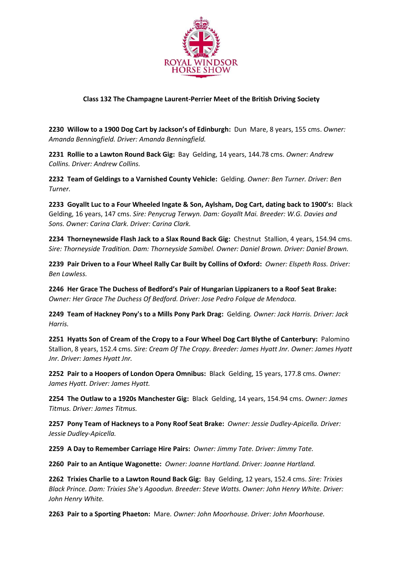

## **Class 132 The Champagne Laurent-Perrier Meet of the British Driving Society**

**2230 Willow to a 1900 Dog Cart by Jackson's of Edinburgh:** Dun Mare, 8 years, 155 cms. *Owner: Amanda Benningfield. Driver: Amanda Benningfield.*

**2231 Rollie to a Lawton Round Back Gig:** Bay Gelding, 14 years, 144.78 cms. *Owner: Andrew Collins. Driver: Andrew Collins.*

**2232 Team of Geldings to a Varnished County Vehicle:** Gelding*. Owner: Ben Turner. Driver: Ben Turner.*

**2233 Goyallt Luc to a Four Wheeled Ingate & Son, Aylsham, Dog Cart, dating back to 1900's:** Black Gelding, 16 years, 147 cms. *Sire: Penycrug Terwyn. Dam: Goyallt Mai. Breeder: W.G. Davies and Sons. Owner: Carina Clark. Driver: Carina Clark.*

**2234 Thorneynewside Flash Jack to a Slax Round Back Gig:** Chestnut Stallion, 4 years, 154.94 cms. *Sire: Thorneyside Tradition. Dam: Thorneyside Samibel. Owner: Daniel Brown. Driver: Daniel Brown.*

**2239 Pair Driven to a Four Wheel Rally Car Built by Collins of Oxford:** *Owner: Elspeth Ross. Driver: Ben Lawless.*

**2246 Her Grace The Duchess of Bedford's Pair of Hungarian Lippizaners to a Roof Seat Brake:**  *Owner: Her Grace The Duchess Of Bedford. Driver: Jose Pedro Folque de Mendoca.*

**2249 Team of Hackney Pony's to a Mills Pony Park Drag:** Gelding*. Owner: Jack Harris. Driver: Jack Harris.*

**2251 Hyatts Son of Cream of the Cropy to a Four Wheel Dog Cart Blythe of Canterbury:** Palomino Stallion, 8 years, 152.4 cms. *Sire: Cream Of The Cropy. Breeder: James Hyatt Jnr. Owner: James Hyatt Jnr. Driver: James Hyatt Jnr.*

**2252 Pair to a Hoopers of London Opera Omnibus:** Black Gelding, 15 years, 177.8 cms. *Owner: James Hyatt. Driver: James Hyatt.*

**2254 The Outlaw to a 1920s Manchester Gig:** Black Gelding, 14 years, 154.94 cms. *Owner: James Titmus. Driver: James Titmus.*

**2257 Pony Team of Hackneys to a Pony Roof Seat Brake:** *Owner: Jessie Dudley-Apicella. Driver: Jessie Dudley-Apicella.*

**2259 A Day to Remember Carriage Hire Pairs:** *Owner: Jimmy Tate. Driver: Jimmy Tate.*

**2260 Pair to an Antique Wagonette:** *Owner: Joanne Hartland. Driver: Joanne Hartland.*

**2262 Trixies Charlie to a Lawton Round Back Gig:** Bay Gelding, 12 years, 152.4 cms. *Sire: Trixies Black Prince. Dam: Trixies She's Agoodun. Breeder: Steve Watts. Owner: John Henry White. Driver: John Henry White.*

**2263 Pair to a Sporting Phaeton:** Mare*. Owner: John Moorhouse. Driver: John Moorhouse.*